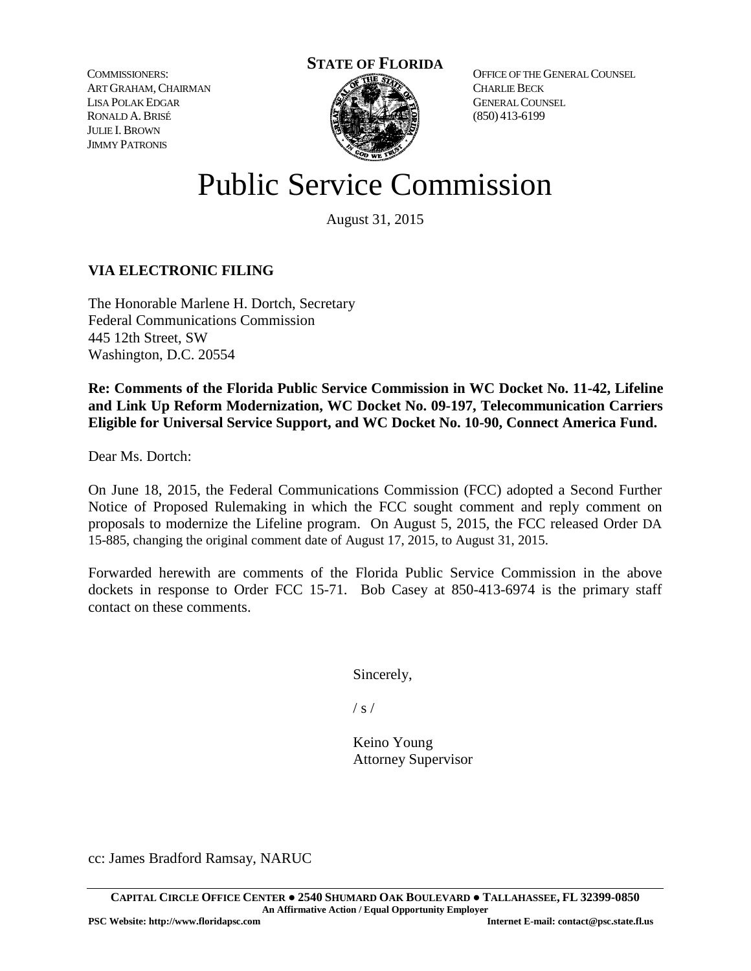COMMISSIONERS: ART GRAHAM, CHAIRMAN LISA POLAK EDGAR RONALD A.BRISÉ JULIE I. BROWN **JIMMY PATRONIS** 

# **STATE OF FLORIDA**

OFFICE OF THE GENERAL COUNSEL CHARLIE BECK GENERAL COUNSEL (850) 413-6199

# Public Service Commission

August 31, 2015

# **VIA ELECTRONIC FILING**

The Honorable Marlene H. Dortch, Secretary Federal Communications Commission 445 12th Street, SW Washington, D.C. 20554

**Re: Comments of the Florida Public Service Commission in WC Docket No. 11-42, Lifeline and Link Up Reform Modernization, WC Docket No. 09-197, Telecommunication Carriers Eligible for Universal Service Support, and WC Docket No. 10-90, Connect America Fund.**

Dear Ms. Dortch:

On June 18, 2015, the Federal Communications Commission (FCC) adopted a Second Further Notice of Proposed Rulemaking in which the FCC sought comment and reply comment on proposals to modernize the Lifeline program. On August 5, 2015, the FCC released Order DA 15-885, changing the original comment date of August 17, 2015, to August 31, 2015.

Forwarded herewith are comments of the Florida Public Service Commission in the above dockets in response to Order FCC 15-71. Bob Casey at 850-413-6974 is the primary staff contact on these comments.

Sincerely,

 $/ s /$ 

Keino Young Attorney Supervisor

cc: James Bradford Ramsay, NARUC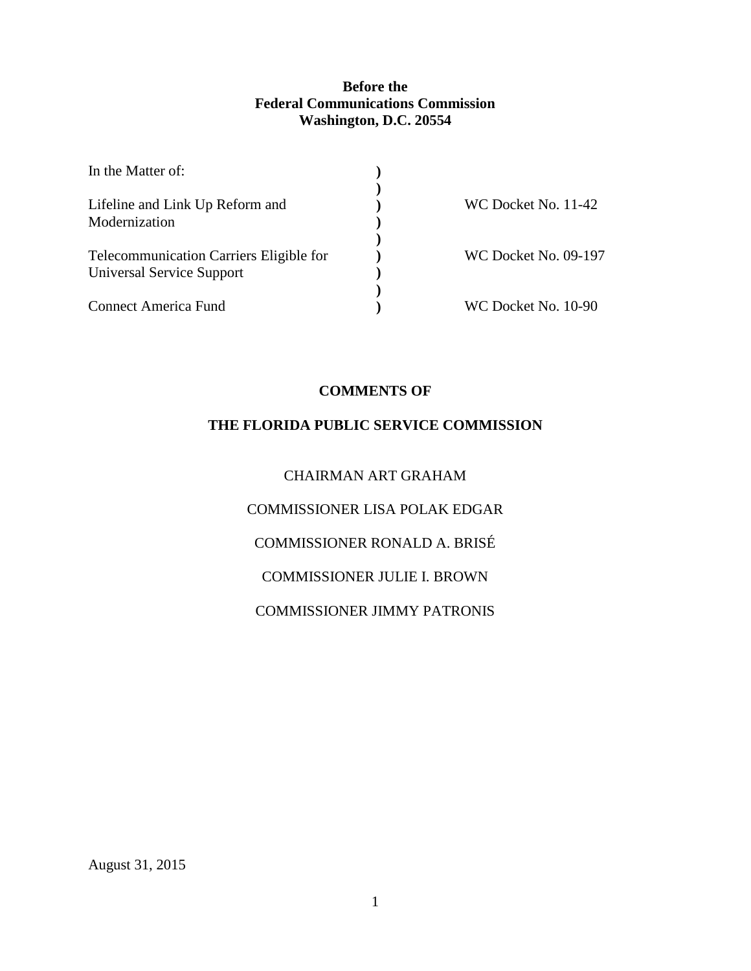# **Before the Federal Communications Commission Washington, D.C. 20554**

| In the Matter of:                              |                      |
|------------------------------------------------|----------------------|
|                                                |                      |
| Lifeline and Link Up Reform and                | WC Docket No. 11-42  |
| Modernization                                  |                      |
|                                                |                      |
| <b>Telecommunication Carriers Eligible for</b> | WC Docket No. 09-197 |
| Universal Service Support                      |                      |
|                                                |                      |
| <b>Connect America Fund</b>                    | WC Docket No. 10-90  |

# **COMMENTS OF**

# **THE FLORIDA PUBLIC SERVICE COMMISSION**

# CHAIRMAN ART GRAHAM

COMMISSIONER LISA POLAK EDGAR

COMMISSIONER RONALD A. BRISÉ

COMMISSIONER JULIE I. BROWN

# COMMISSIONER JIMMY PATRONIS

August 31, 2015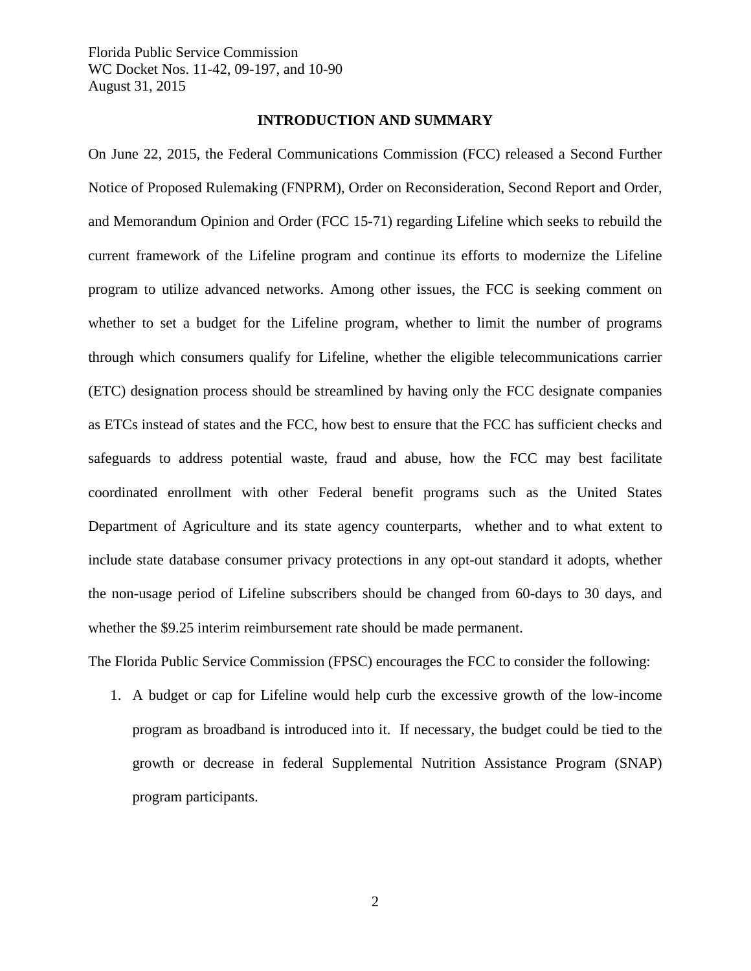### **INTRODUCTION AND SUMMARY**

On June 22, 2015, the Federal Communications Commission (FCC) released a Second Further Notice of Proposed Rulemaking (FNPRM), Order on Reconsideration, Second Report and Order, and Memorandum Opinion and Order (FCC 15-71) regarding Lifeline which seeks to rebuild the current framework of the Lifeline program and continue its efforts to modernize the Lifeline program to utilize advanced networks. Among other issues, the FCC is seeking comment on whether to set a budget for the Lifeline program, whether to limit the number of programs through which consumers qualify for Lifeline, whether the eligible telecommunications carrier (ETC) designation process should be streamlined by having only the FCC designate companies as ETCs instead of states and the FCC, how best to ensure that the FCC has sufficient checks and safeguards to address potential waste, fraud and abuse, how the FCC may best facilitate coordinated enrollment with other Federal benefit programs such as the United States Department of Agriculture and its state agency counterparts, whether and to what extent to include state database consumer privacy protections in any opt-out standard it adopts, whether the non-usage period of Lifeline subscribers should be changed from 60-days to 30 days, and whether the \$9.25 interim reimbursement rate should be made permanent.

The Florida Public Service Commission (FPSC) encourages the FCC to consider the following:

1. A budget or cap for Lifeline would help curb the excessive growth of the low-income program as broadband is introduced into it. If necessary, the budget could be tied to the growth or decrease in federal Supplemental Nutrition Assistance Program (SNAP) program participants.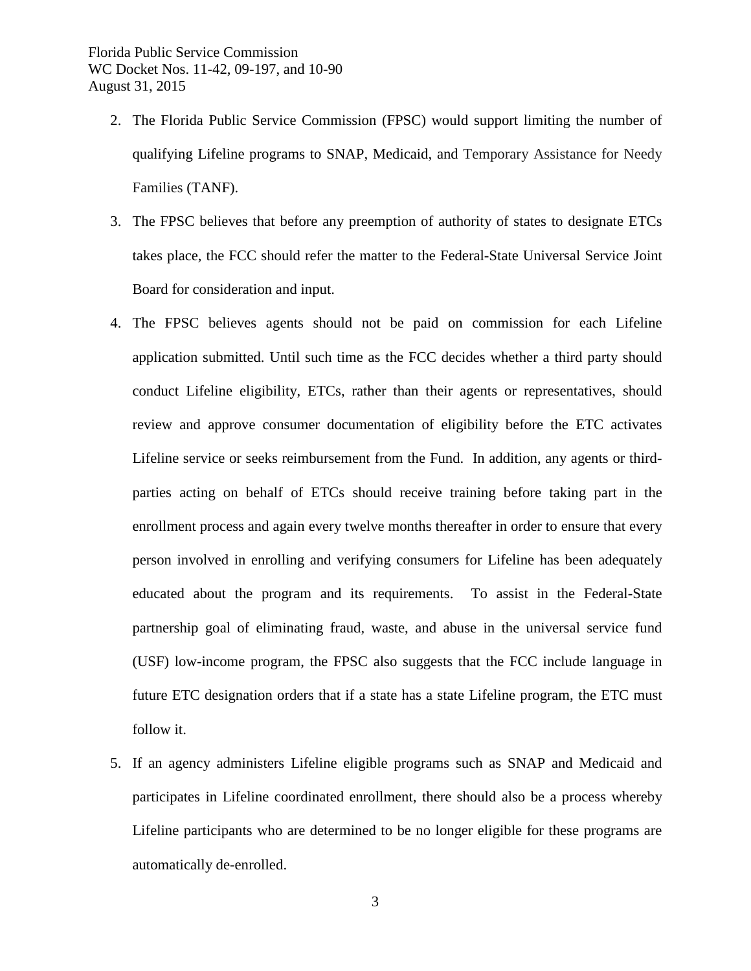- 2. The Florida Public Service Commission (FPSC) would support limiting the number of qualifying Lifeline programs to SNAP, Medicaid, and Temporary Assistance for Needy Families (TANF).
- 3. The FPSC believes that before any preemption of authority of states to designate ETCs takes place, the FCC should refer the matter to the Federal-State Universal Service Joint Board for consideration and input.
- 4. The FPSC believes agents should not be paid on commission for each Lifeline application submitted. Until such time as the FCC decides whether a third party should conduct Lifeline eligibility, ETCs, rather than their agents or representatives, should review and approve consumer documentation of eligibility before the ETC activates Lifeline service or seeks reimbursement from the Fund. In addition, any agents or thirdparties acting on behalf of ETCs should receive training before taking part in the enrollment process and again every twelve months thereafter in order to ensure that every person involved in enrolling and verifying consumers for Lifeline has been adequately educated about the program and its requirements. To assist in the Federal-State partnership goal of eliminating fraud, waste, and abuse in the universal service fund (USF) low-income program, the FPSC also suggests that the FCC include language in future ETC designation orders that if a state has a state Lifeline program, the ETC must follow it.
- 5. If an agency administers Lifeline eligible programs such as SNAP and Medicaid and participates in Lifeline coordinated enrollment, there should also be a process whereby Lifeline participants who are determined to be no longer eligible for these programs are automatically de-enrolled.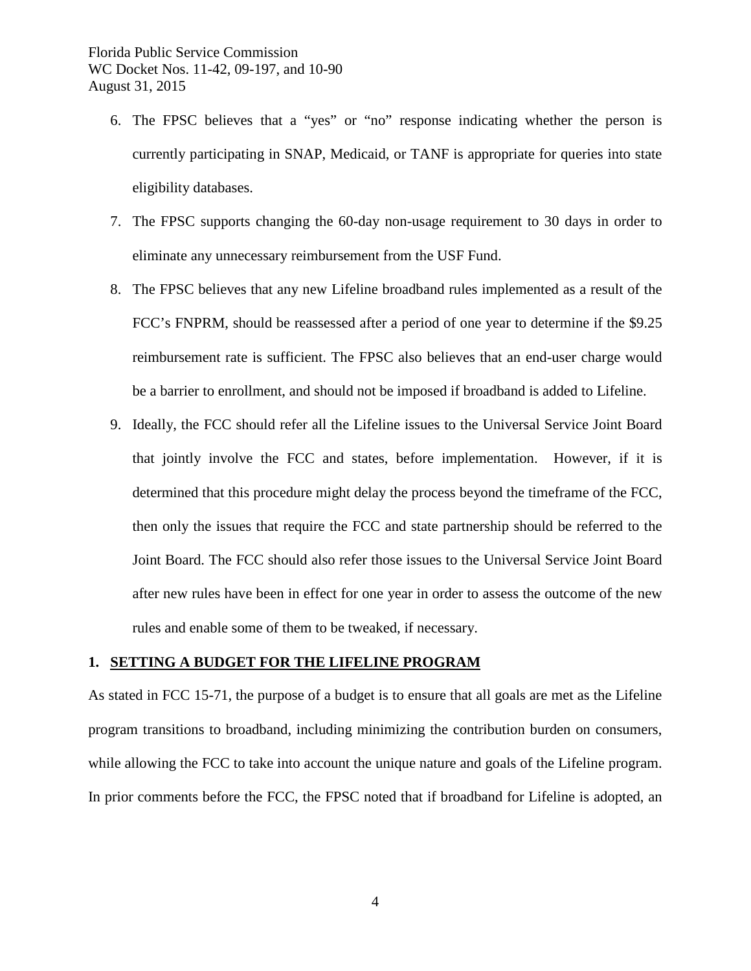- 6. The FPSC believes that a "yes" or "no" response indicating whether the person is currently participating in SNAP, Medicaid, or TANF is appropriate for queries into state eligibility databases.
- 7. The FPSC supports changing the 60-day non-usage requirement to 30 days in order to eliminate any unnecessary reimbursement from the USF Fund.
- 8. The FPSC believes that any new Lifeline broadband rules implemented as a result of the FCC's FNPRM, should be reassessed after a period of one year to determine if the \$9.25 reimbursement rate is sufficient. The FPSC also believes that an end-user charge would be a barrier to enrollment, and should not be imposed if broadband is added to Lifeline.
- 9. Ideally, the FCC should refer all the Lifeline issues to the Universal Service Joint Board that jointly involve the FCC and states, before implementation. However, if it is determined that this procedure might delay the process beyond the timeframe of the FCC, then only the issues that require the FCC and state partnership should be referred to the Joint Board. The FCC should also refer those issues to the Universal Service Joint Board after new rules have been in effect for one year in order to assess the outcome of the new rules and enable some of them to be tweaked, if necessary.

# **1. SETTING A BUDGET FOR THE LIFELINE PROGRAM**

As stated in FCC 15-71, the purpose of a budget is to ensure that all goals are met as the Lifeline program transitions to broadband, including minimizing the contribution burden on consumers, while allowing the FCC to take into account the unique nature and goals of the Lifeline program. In prior comments before the FCC, the FPSC noted that if broadband for Lifeline is adopted, an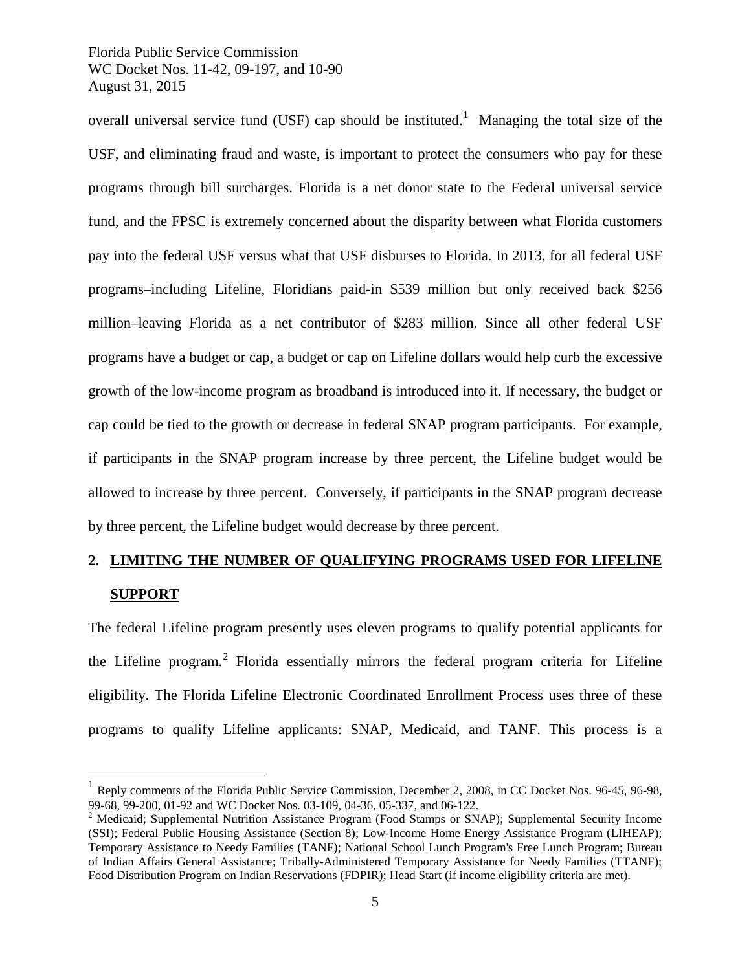overall universal service fund (USF) cap should be instituted.<sup>[1](#page-5-0)</sup> Managing the total size of the USF, and eliminating fraud and waste, is important to protect the consumers who pay for these programs through bill surcharges. Florida is a net donor state to the Federal universal service fund, and the FPSC is extremely concerned about the disparity between what Florida customers pay into the federal USF versus what that USF disburses to Florida. In 2013, for all federal USF programs–including Lifeline, Floridians paid-in \$539 million but only received back \$256 million–leaving Florida as a net contributor of \$283 million. Since all other federal USF programs have a budget or cap, a budget or cap on Lifeline dollars would help curb the excessive growth of the low-income program as broadband is introduced into it. If necessary, the budget or cap could be tied to the growth or decrease in federal SNAP program participants. For example, if participants in the SNAP program increase by three percent, the Lifeline budget would be allowed to increase by three percent. Conversely, if participants in the SNAP program decrease by three percent, the Lifeline budget would decrease by three percent.

# **2. LIMITING THE NUMBER OF QUALIFYING PROGRAMS USED FOR LIFELINE SUPPORT**

The federal Lifeline program presently uses eleven programs to qualify potential applicants for the Lifeline program.<sup>[2](#page-5-1)</sup> Florida essentially mirrors the federal program criteria for Lifeline eligibility. The Florida Lifeline Electronic Coordinated Enrollment Process uses three of these programs to qualify Lifeline applicants: SNAP, Medicaid, and TANF. This process is a

<span id="page-5-0"></span><sup>&</sup>lt;sup>1</sup> Reply comments of the Florida Public Service Commission, December 2, 2008, in CC Docket Nos. 96-45, 96-98, 99-68, 99-200, 01-92 and WC Docket Nos. 03-109, 04-36, 05-337, and 06-122.

<span id="page-5-1"></span><sup>&</sup>lt;sup>2</sup> Medicaid; Supplemental Nutrition Assistance Program (Food Stamps or SNAP); Supplemental Security Income (SSI); Federal Public Housing Assistance (Section 8); Low-Income Home Energy Assistance Program (LIHEAP); Temporary Assistance to Needy Families (TANF); National School Lunch Program's Free Lunch Program; Bureau of Indian Affairs General Assistance; Tribally-Administered Temporary Assistance for Needy Families (TTANF); Food Distribution Program on Indian Reservations (FDPIR); Head Start (if income eligibility criteria are met).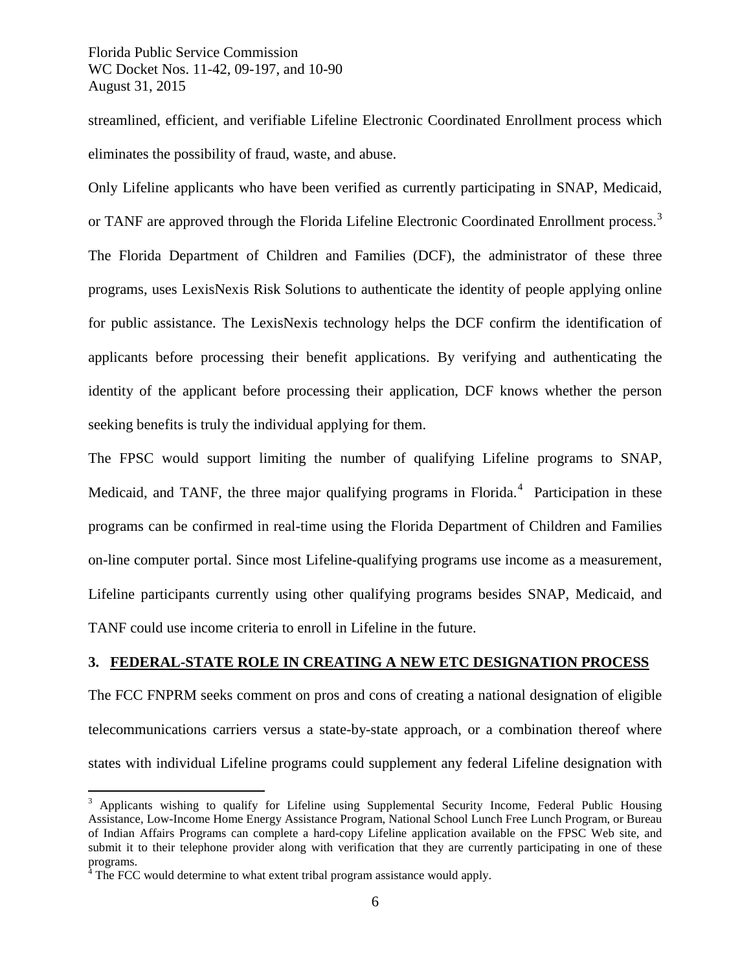streamlined, efficient, and verifiable Lifeline Electronic Coordinated Enrollment process which eliminates the possibility of fraud, waste, and abuse.

Only Lifeline applicants who have been verified as currently participating in SNAP, Medicaid, or TANF are approved through the Florida Lifeline Electronic Coordinated Enrollment process.<sup>[3](#page-6-0)</sup> The Florida Department of Children and Families (DCF), the administrator of these three programs, uses LexisNexis Risk Solutions to authenticate the identity of people applying online for public assistance. The LexisNexis technology helps the DCF confirm the identification of applicants before processing their benefit applications. By verifying and authenticating the identity of the applicant before processing their application, DCF knows whether the person seeking benefits is truly the individual applying for them.

The FPSC would support limiting the number of qualifying Lifeline programs to SNAP, Medicaid, and TANF, the three major qualifying programs in Florida. $4$  Participation in these programs can be confirmed in real-time using the Florida Department of Children and Families on-line computer portal. Since most Lifeline-qualifying programs use income as a measurement, Lifeline participants currently using other qualifying programs besides SNAP, Medicaid, and TANF could use income criteria to enroll in Lifeline in the future.

# **3. FEDERAL-STATE ROLE IN CREATING A NEW ETC DESIGNATION PROCESS**

The FCC FNPRM seeks comment on pros and cons of creating a national designation of eligible telecommunications carriers versus a state-by-state approach, or a combination thereof where states with individual Lifeline programs could supplement any federal Lifeline designation with

<span id="page-6-0"></span><sup>&</sup>lt;sup>3</sup> Applicants wishing to qualify for Lifeline using Supplemental Security Income, Federal Public Housing Assistance, Low-Income Home Energy Assistance Program, National School Lunch Free Lunch Program, or Bureau of Indian Affairs Programs can complete a hard-copy Lifeline application available on the FPSC Web site, and submit it to their telephone provider along with verification that they are currently participating in one of these programs.

<span id="page-6-1"></span> $4$  The FCC would determine to what extent tribal program assistance would apply.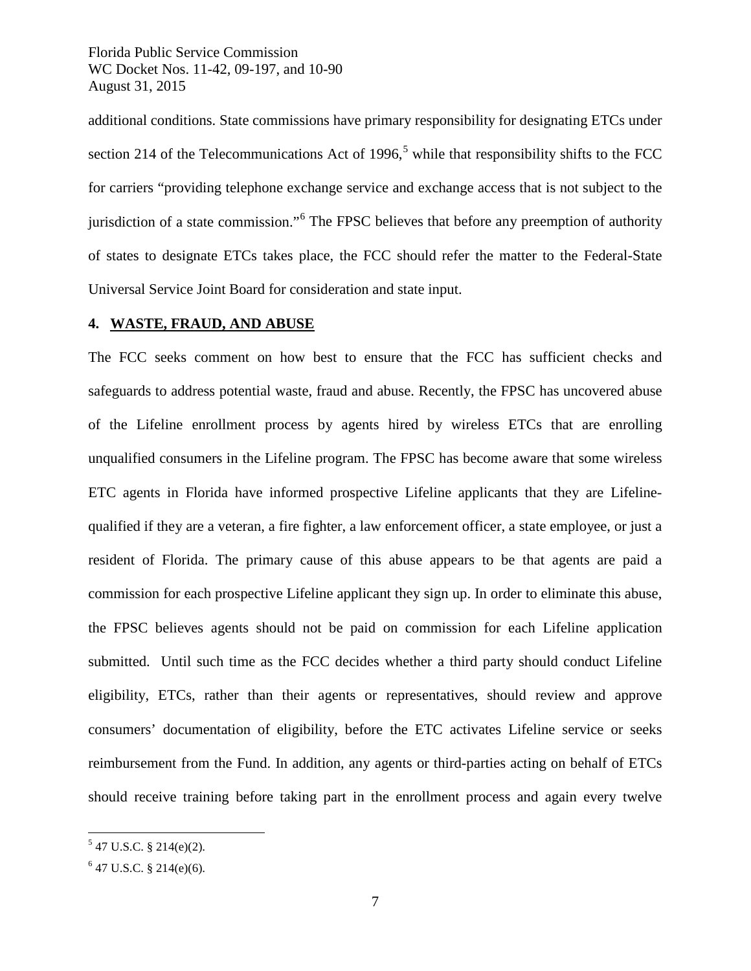additional conditions. State commissions have primary responsibility for designating ETCs under section 214 of the Telecommunications Act of 1996,<sup>[5](#page-7-0)</sup> while that responsibility shifts to the FCC for carriers "providing telephone exchange service and exchange access that is not subject to the jurisdiction of a state commission."<sup>[6](#page-7-1)</sup> The FPSC believes that before any preemption of authority of states to designate ETCs takes place, the FCC should refer the matter to the Federal-State Universal Service Joint Board for consideration and state input.

# **4. WASTE, FRAUD, AND ABUSE**

The FCC seeks comment on how best to ensure that the FCC has sufficient checks and safeguards to address potential waste, fraud and abuse. Recently, the FPSC has uncovered abuse of the Lifeline enrollment process by agents hired by wireless ETCs that are enrolling unqualified consumers in the Lifeline program. The FPSC has become aware that some wireless ETC agents in Florida have informed prospective Lifeline applicants that they are Lifelinequalified if they are a veteran, a fire fighter, a law enforcement officer, a state employee, or just a resident of Florida. The primary cause of this abuse appears to be that agents are paid a commission for each prospective Lifeline applicant they sign up. In order to eliminate this abuse, the FPSC believes agents should not be paid on commission for each Lifeline application submitted. Until such time as the FCC decides whether a third party should conduct Lifeline eligibility, ETCs, rather than their agents or representatives, should review and approve consumers' documentation of eligibility, before the ETC activates Lifeline service or seeks reimbursement from the Fund. In addition, any agents or third-parties acting on behalf of ETCs should receive training before taking part in the enrollment process and again every twelve

<span id="page-7-0"></span> $5$  47 U.S.C. § 214(e)(2).

<span id="page-7-1"></span> $647$  U.S.C. § 214(e)(6).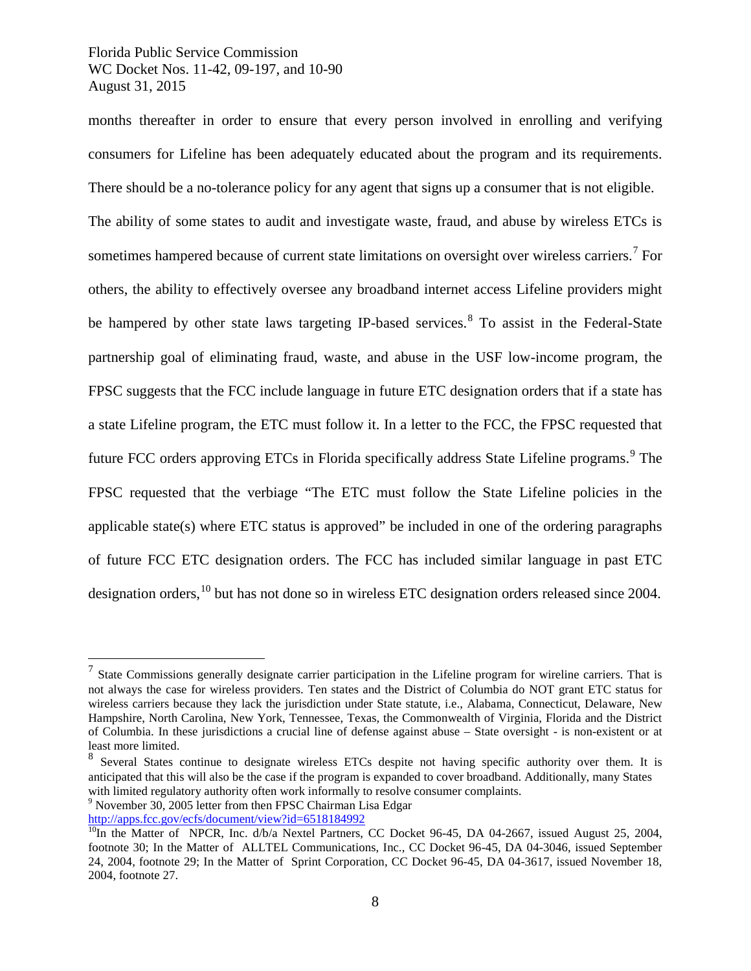months thereafter in order to ensure that every person involved in enrolling and verifying consumers for Lifeline has been adequately educated about the program and its requirements. There should be a no-tolerance policy for any agent that signs up a consumer that is not eligible.

The ability of some states to audit and investigate waste, fraud, and abuse by wireless ETCs is sometimes hampered because of current state limitations on oversight over wireless carriers.<sup>[7](#page-8-0)</sup> For others, the ability to effectively oversee any broadband internet access Lifeline providers might be hampered by other state laws targeting IP-based services.<sup>[8](#page-8-1)</sup> To assist in the Federal-State partnership goal of eliminating fraud, waste, and abuse in the USF low-income program, the FPSC suggests that the FCC include language in future ETC designation orders that if a state has a state Lifeline program, the ETC must follow it. In a letter to the FCC, the FPSC requested that future FCC orders approving ETCs in Florida specifically address State Lifeline programs.<sup>[9](#page-8-2)</sup> The FPSC requested that the verbiage "The ETC must follow the State Lifeline policies in the applicable state(s) where ETC status is approved" be included in one of the ordering paragraphs of future FCC ETC designation orders. The FCC has included similar language in past ETC designation orders,[10](#page-8-3) but has not done so in wireless ETC designation orders released since 2004.

<span id="page-8-2"></span>

<span id="page-8-0"></span> $<sup>7</sup>$  State Commissions generally designate carrier participation in the Lifeline program for wireline carriers. That is</sup> not always the case for wireless providers. Ten states and the District of Columbia do NOT grant ETC status for wireless carriers because they lack the jurisdiction under State statute, i.e., Alabama, Connecticut, Delaware, New Hampshire, North Carolina, New York, Tennessee, Texas, the Commonwealth of Virginia, Florida and the District of Columbia. In these jurisdictions a crucial line of defense against abuse – State oversight - is non-existent or at least more limited.

<span id="page-8-1"></span>Several States continue to designate wireless ETCs despite not having specific authority over them. It is anticipated that this will also be the case if the program is expanded to cover broadband. Additionally, many States with limited regulatory authority often work informally to resolve consumer complaints.<br><sup>9</sup> November 30, 2005 letter from then FPSC Chairman Lisa Edgar<br>http://apps.fcc.gov/ecfs/document/view?id=6518184992

<span id="page-8-3"></span> $^{10}$ In the Matter of NPCR, Inc. d/b/a Nextel Partners, CC Docket 96-45, DA 04-2667, issued August 25, 2004, footnote 30; In the Matter of ALLTEL Communications, Inc., CC Docket 96-45, DA 04-3046, issued September 24, 2004, footnote 29; In the Matter of Sprint Corporation, CC Docket 96-45, DA 04-3617, issued November 18, 2004, footnote 27.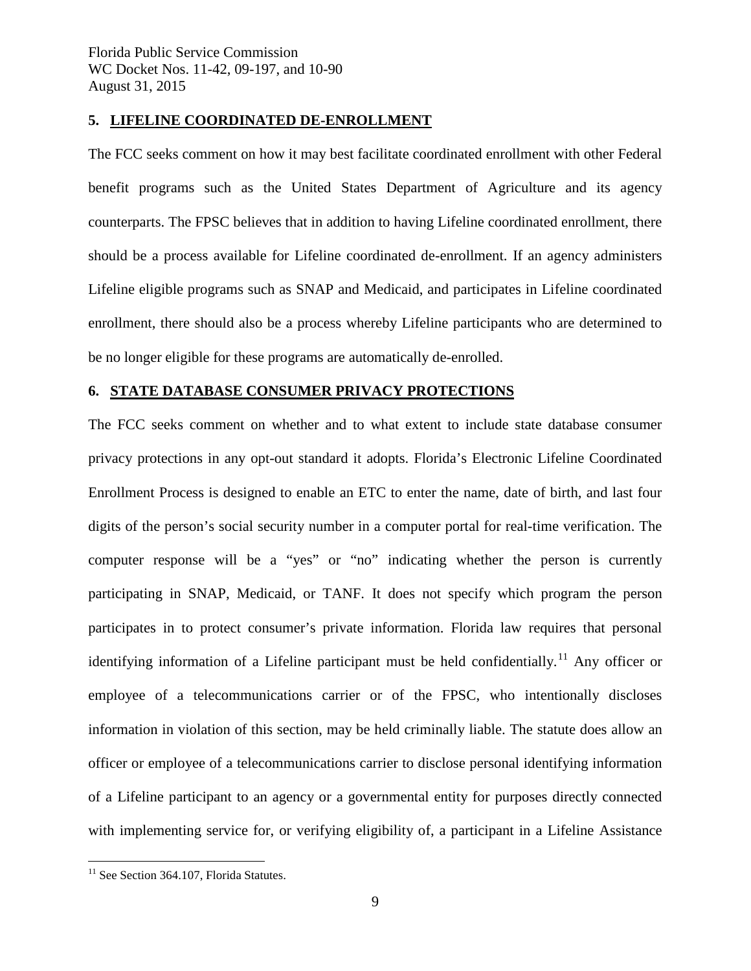# **5. LIFELINE COORDINATED DE-ENROLLMENT**

The FCC seeks comment on how it may best facilitate coordinated enrollment with other Federal benefit programs such as the United States Department of Agriculture and its agency counterparts. The FPSC believes that in addition to having Lifeline coordinated enrollment, there should be a process available for Lifeline coordinated de-enrollment. If an agency administers Lifeline eligible programs such as SNAP and Medicaid, and participates in Lifeline coordinated enrollment, there should also be a process whereby Lifeline participants who are determined to be no longer eligible for these programs are automatically de-enrolled.

## **6. STATE DATABASE CONSUMER PRIVACY PROTECTIONS**

The FCC seeks comment on whether and to what extent to include state database consumer privacy protections in any opt-out standard it adopts. Florida's Electronic Lifeline Coordinated Enrollment Process is designed to enable an ETC to enter the name, date of birth, and last four digits of the person's social security number in a computer portal for real-time verification. The computer response will be a "yes" or "no" indicating whether the person is currently participating in SNAP, Medicaid, or TANF. It does not specify which program the person participates in to protect consumer's private information. Florida law requires that personal identifying information of a Lifeline participant must be held confidentially.<sup>[11](#page-9-0)</sup> Any officer or employee of a telecommunications carrier or of the FPSC, who intentionally discloses information in violation of this section, may be held criminally liable. The statute does allow an officer or employee of a telecommunications carrier to disclose personal identifying information of a Lifeline participant to an agency or a governmental entity for purposes directly connected with implementing service for, or verifying eligibility of, a participant in a Lifeline Assistance

<span id="page-9-0"></span> $11$  See Section 364.107, Florida Statutes.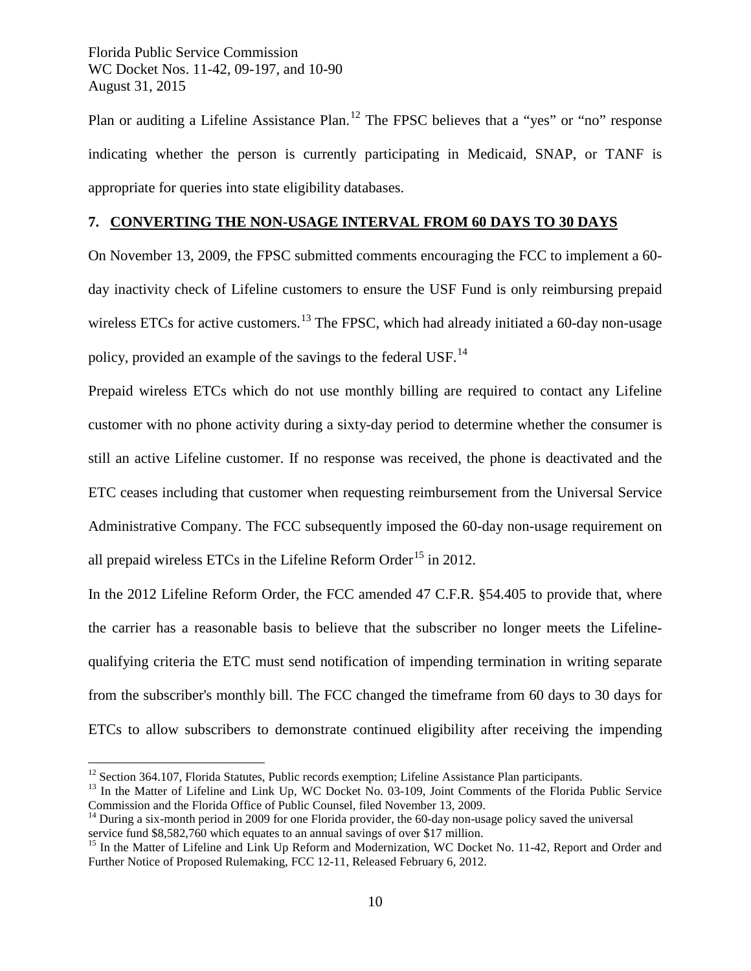Plan or auditing a Lifeline Assistance Plan.<sup>[12](#page-10-0)</sup> The FPSC believes that a "yes" or "no" response indicating whether the person is currently participating in Medicaid, SNAP, or TANF is appropriate for queries into state eligibility databases.

# **7. CONVERTING THE NON-USAGE INTERVAL FROM 60 DAYS TO 30 DAYS**

On November 13, 2009, the FPSC submitted comments encouraging the FCC to implement a 60 day inactivity check of Lifeline customers to ensure the USF Fund is only reimbursing prepaid wireless ETCs for active customers.<sup>[13](#page-10-1)</sup> The FPSC, which had already initiated a 60-day non-usage policy, provided an example of the savings to the federal USF.<sup>[14](#page-10-2)</sup>

Prepaid wireless ETCs which do not use monthly billing are required to contact any Lifeline customer with no phone activity during a sixty-day period to determine whether the consumer is still an active Lifeline customer. If no response was received, the phone is deactivated and the ETC ceases including that customer when requesting reimbursement from the Universal Service Administrative Company. The FCC subsequently imposed the 60-day non-usage requirement on all prepaid wireless ETCs in the Lifeline Reform Order<sup>[15](#page-10-3)</sup> in 2012.

In the 2012 Lifeline Reform Order, the FCC amended 47 C.F.R. §54.405 to provide that, where the carrier has a reasonable basis to believe that the subscriber no longer meets the Lifelinequalifying criteria the ETC must send notification of impending termination in writing separate from the subscriber's monthly bill. The FCC changed the timeframe from 60 days to 30 days for ETCs to allow subscribers to demonstrate continued eligibility after receiving the impending

<span id="page-10-1"></span><span id="page-10-0"></span><sup>&</sup>lt;sup>12</sup> Section 364.107, Florida Statutes, Public records exemption; Lifeline Assistance Plan participants.<br><sup>13</sup> In the Matter of Lifeline and Link Up, WC Docket No. 03-109, Joint Comments of the Florida Public Service Commission and the Florida Office of Public Counsel, filed November 13, 2009.

<span id="page-10-2"></span><sup>&</sup>lt;sup>14</sup> During a six-month period in 2009 for one Florida provider, the 60-day non-usage policy saved the universal service fund \$8,582,760 which equates to an annual savings of over \$17 million.

<span id="page-10-3"></span><sup>&</sup>lt;sup>15</sup> In the Matter of Lifeline and Link Up Reform and Modernization, WC Docket No. 11-42, Report and Order and Further Notice of Proposed Rulemaking, FCC 12-11, Released February 6, 2012.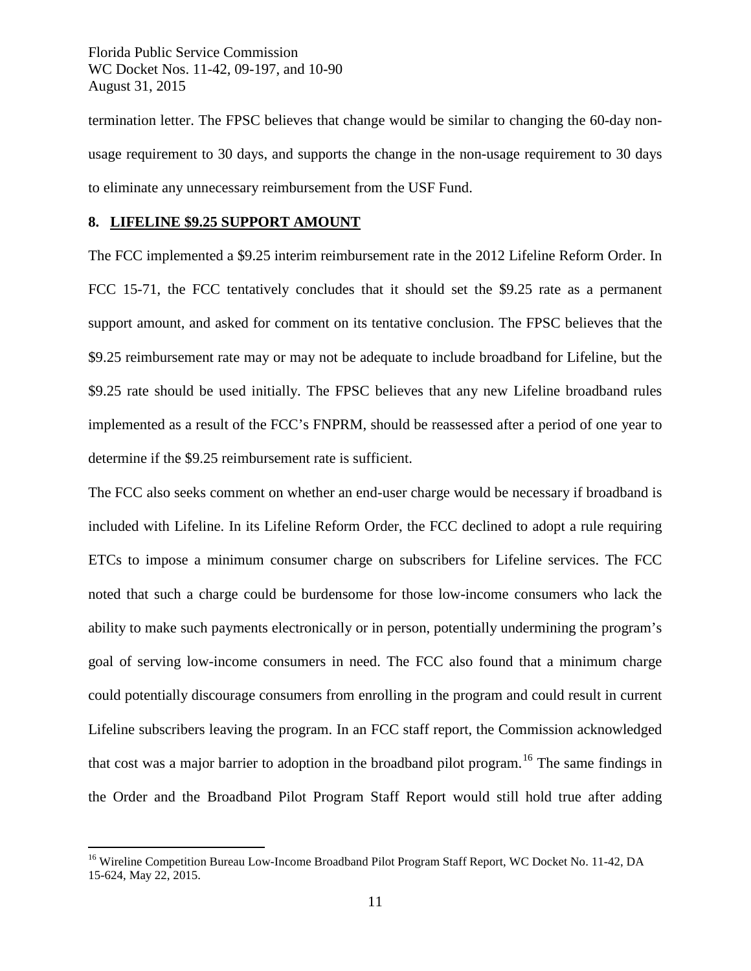termination letter. The FPSC believes that change would be similar to changing the 60-day nonusage requirement to 30 days, and supports the change in the non-usage requirement to 30 days to eliminate any unnecessary reimbursement from the USF Fund.

# **8. LIFELINE \$9.25 SUPPORT AMOUNT**

The FCC implemented a \$9.25 interim reimbursement rate in the 2012 Lifeline Reform Order. In FCC 15-71, the FCC tentatively concludes that it should set the \$9.25 rate as a permanent support amount, and asked for comment on its tentative conclusion. The FPSC believes that the \$9.25 reimbursement rate may or may not be adequate to include broadband for Lifeline, but the \$9.25 rate should be used initially. The FPSC believes that any new Lifeline broadband rules implemented as a result of the FCC's FNPRM, should be reassessed after a period of one year to determine if the \$9.25 reimbursement rate is sufficient.

The FCC also seeks comment on whether an end-user charge would be necessary if broadband is included with Lifeline. In its Lifeline Reform Order, the FCC declined to adopt a rule requiring ETCs to impose a minimum consumer charge on subscribers for Lifeline services. The FCC noted that such a charge could be burdensome for those low-income consumers who lack the ability to make such payments electronically or in person, potentially undermining the program's goal of serving low-income consumers in need. The FCC also found that a minimum charge could potentially discourage consumers from enrolling in the program and could result in current Lifeline subscribers leaving the program. In an FCC staff report, the Commission acknowledged that cost was a major barrier to adoption in the broadband pilot program.<sup>[16](#page-11-0)</sup> The same findings in the Order and the Broadband Pilot Program Staff Report would still hold true after adding

<span id="page-11-0"></span><sup>&</sup>lt;sup>16</sup> Wireline Competition Bureau Low-Income Broadband Pilot Program Staff Report, WC Docket No. 11-42, DA 15-624, May 22, 2015.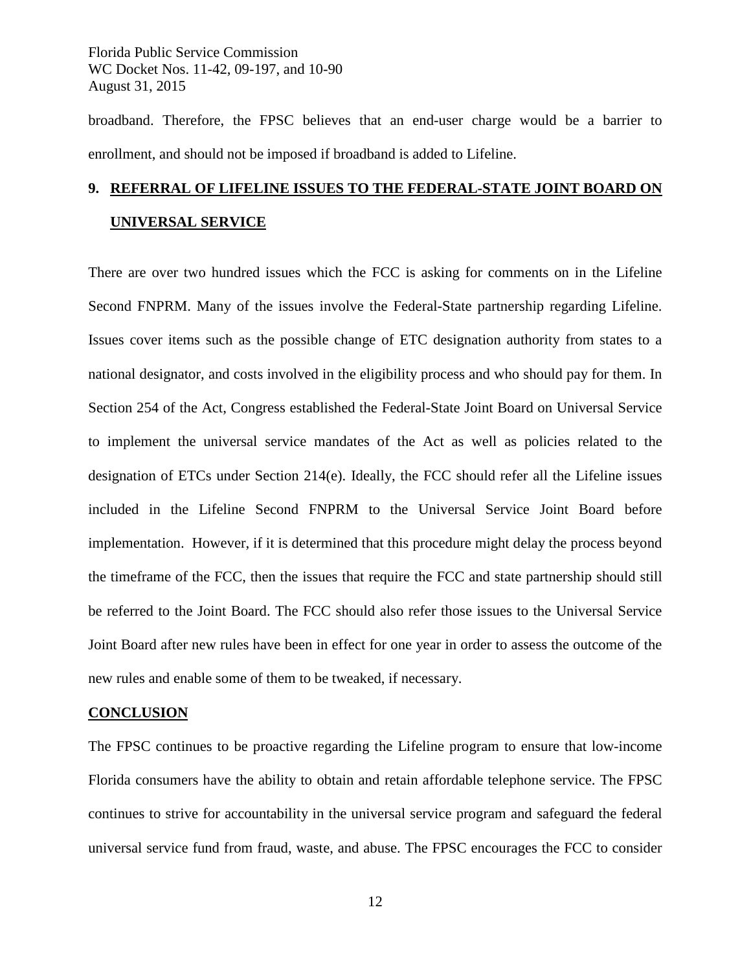broadband. Therefore, the FPSC believes that an end-user charge would be a barrier to enrollment, and should not be imposed if broadband is added to Lifeline.

# **9. REFERRAL OF LIFELINE ISSUES TO THE FEDERAL-STATE JOINT BOARD ON UNIVERSAL SERVICE**

There are over two hundred issues which the FCC is asking for comments on in the Lifeline Second FNPRM. Many of the issues involve the Federal-State partnership regarding Lifeline. Issues cover items such as the possible change of ETC designation authority from states to a national designator, and costs involved in the eligibility process and who should pay for them. In Section 254 of the Act, Congress established the Federal-State Joint Board on Universal Service to implement the universal service mandates of the Act as well as policies related to the designation of ETCs under Section 214(e). Ideally, the FCC should refer all the Lifeline issues included in the Lifeline Second FNPRM to the Universal Service Joint Board before implementation. However, if it is determined that this procedure might delay the process beyond the timeframe of the FCC, then the issues that require the FCC and state partnership should still be referred to the Joint Board. The FCC should also refer those issues to the Universal Service Joint Board after new rules have been in effect for one year in order to assess the outcome of the new rules and enable some of them to be tweaked, if necessary.

### **CONCLUSION**

The FPSC continues to be proactive regarding the Lifeline program to ensure that low-income Florida consumers have the ability to obtain and retain affordable telephone service. The FPSC continues to strive for accountability in the universal service program and safeguard the federal universal service fund from fraud, waste, and abuse. The FPSC encourages the FCC to consider